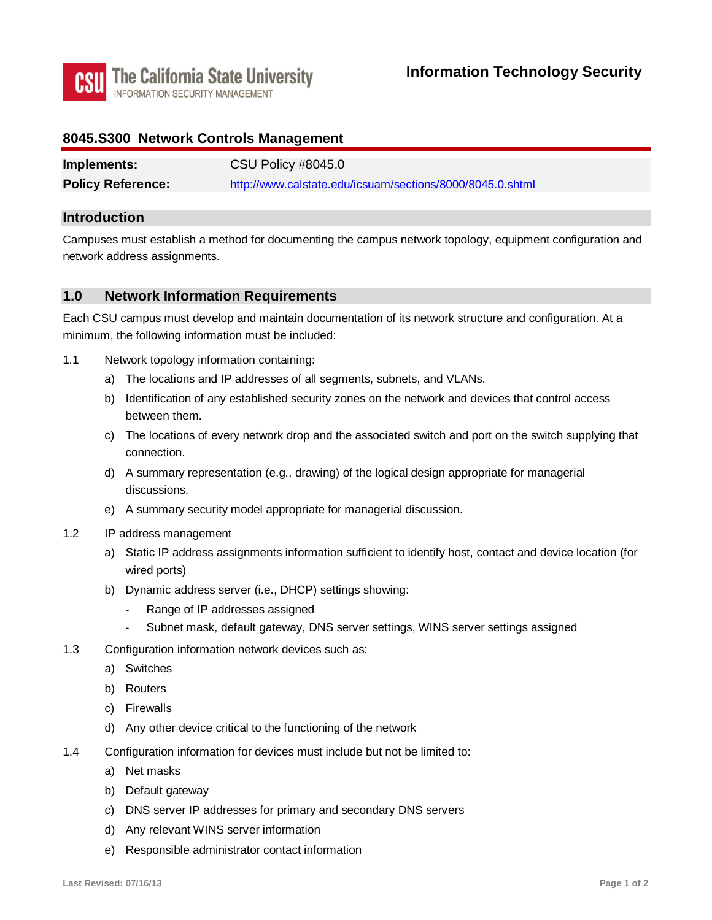

### **8045.S300 Network Controls Management**

| Implements:              | CSU Policy #8045.0                                        |
|--------------------------|-----------------------------------------------------------|
| <b>Policy Reference:</b> | http://www.calstate.edu/icsuam/sections/8000/8045.0.shtml |

### **Introduction**

Campuses must establish a method for documenting the campus network topology, equipment configuration and network address assignments.

### **1.0 Network Information Requirements**

Each CSU campus must develop and maintain documentation of its network structure and configuration. At a minimum, the following information must be included:

- 1.1 Network topology information containing:
	- a) The locations and IP addresses of all segments, subnets, and VLANs.
	- b) Identification of any established security zones on the network and devices that control access between them.
	- c) The locations of every network drop and the associated switch and port on the switch supplying that connection.
	- d) A summary representation (e.g., drawing) of the logical design appropriate for managerial discussions.
	- e) A summary security model appropriate for managerial discussion.
- 1.2 IP address management
	- wired ports) a) Static IP address assignments information sufficient to identify host, contact and device location (for
	- b) Dynamic address server (i.e., DHCP) settings showing:
		- Range of IP addresses assigned
		- Subnet mask, default gateway, DNS server settings, WINS server settings assigned
- 1.3 Configuration information network devices such as:
	- a) Switches
	- b) Routers
	- c) Firewalls
	- d) Any other device critical to the functioning of the network
- d) Any other device critical to the functioning of the network 1.4 Configuration information for devices must include but not be limited to:
	- a) Net masks
	- b) Default gateway
	- c) DNS server IP addresses for primary and secondary DNS servers
	- d) Any relevant WINS server information
	- e) Responsible administrator contact information